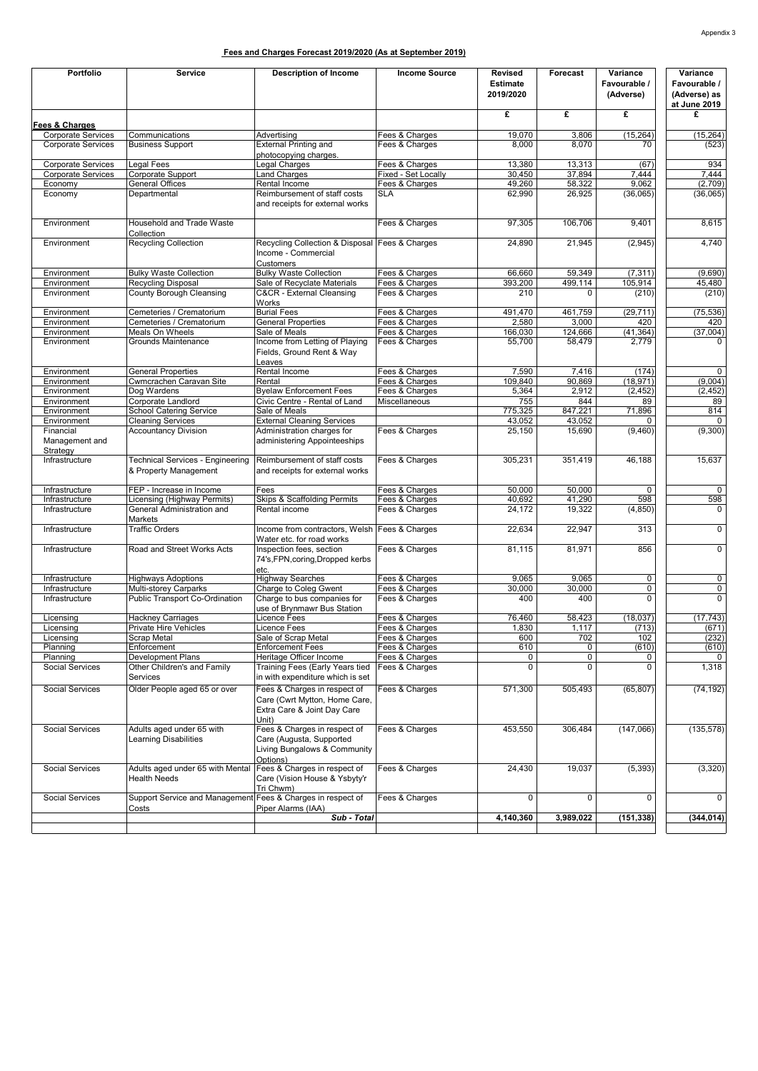| Portfolio                               | <b>Service</b>                                                       | <b>Description of Income</b>                                                                          | <b>Income Source</b>             | <b>Revised</b><br><b>Estimate</b><br>2019/2020 | Forecast         | Variance<br>Favourable /<br>(Adverse) | Variance<br>Favourable /<br>(Adverse) as<br>at June 2019 |
|-----------------------------------------|----------------------------------------------------------------------|-------------------------------------------------------------------------------------------------------|----------------------------------|------------------------------------------------|------------------|---------------------------------------|----------------------------------------------------------|
| Fees & Charges                          |                                                                      |                                                                                                       |                                  | £                                              | £                | £                                     | £                                                        |
| Corporate Services                      | Communications                                                       | Advertising                                                                                           | Fees & Charges                   | 19,070                                         | 3,806            | (15, 264)                             | (15, 264)                                                |
| <b>Corporate Services</b>               | <b>Business Support</b>                                              | <b>External Printing and</b><br>photocopying charges.                                                 | Fees & Charges                   | 8,000                                          | 8,070            | 70                                    | (523)                                                    |
| Corporate Services                      | Legal Fees                                                           | Legal Charges                                                                                         | Fees & Charges                   | 13,380                                         | 13,313           | (67)                                  | 934                                                      |
| Corporate Services                      | Corporate Support                                                    | <b>Land Charges</b>                                                                                   | Fixed - Set Locally              | 30,450                                         | 37,894           | 7,444                                 | 7,444                                                    |
| Economy                                 | <b>General Offices</b>                                               | Rental Income                                                                                         | Fees & Charges                   | 49,260                                         | 58,322           | 9,062                                 | (2,709)                                                  |
| Economy                                 | Departmental                                                         | Reimbursement of staff costs<br>and receipts for external works                                       | SLA                              | 62,990                                         | 26,925           | (36,065)                              | (36, 065)                                                |
| Environment                             | Household and Trade Waste<br>Collection                              |                                                                                                       | Fees & Charges                   | 97,305                                         | 106,706          | 9,401                                 | 8,615                                                    |
| Environment                             | <b>Recycling Collection</b>                                          | Recycling Collection & Disposal<br>Income - Commercial<br>Customers                                   | Fees & Charges                   | 24,890                                         | 21,945           | (2,945)                               | 4,740                                                    |
| Environment                             | <b>Bulky Waste Collection</b>                                        | <b>Bulky Waste Collection</b>                                                                         | Fees & Charges                   | 66,660                                         | 59,349           | (7, 311)                              | (9,690)                                                  |
| Environment                             | Recycling Disposal                                                   | Sale of Recyclate Materials                                                                           | Fees & Charges                   | 393,200                                        | 499,114          | 105,914                               | 45,480                                                   |
| Environment                             | County Borough Cleansing                                             | C&CR - External Cleansing<br>Works                                                                    | Fees & Charges                   | 210                                            | 0                | (210)                                 | (210)                                                    |
| Environment                             | Cemeteries / Crematorium                                             | <b>Burial Fees</b>                                                                                    | Fees & Charges                   | 491,470                                        | 461,759          | (29, 711)                             | (75, 536)                                                |
| Environment<br>Environment              | Cemeteries / Crematorium<br>Meals On Wheels                          | <b>General Properties</b><br>Sale of Meals                                                            | Fees & Charges<br>Fees & Charges | 2,580<br>166,030                               | 3,000<br>124,666 | 420<br>(41, 364)                      | 420<br>(37,004)                                          |
| Environment                             | Grounds Maintenance                                                  | Income from Letting of Playing<br>Fields, Ground Rent & Way<br>Leaves                                 | Fees & Charges                   | 55,700                                         | 58,479           | 2,779                                 | $\Omega$                                                 |
| Environment                             | <b>General Properties</b>                                            | Rental Income                                                                                         | Fees & Charges                   | 7,590                                          | 7,416            | (174)                                 | $\mathbf 0$                                              |
| Environment                             | Cwmcrachen Caravan Site                                              | Rental                                                                                                | Fees & Charges                   | 109,840                                        | 90,869           | (18, 971)                             | (9,004)                                                  |
| Environment                             | Dog Wardens                                                          | <b>Byelaw Enforcement Fees</b>                                                                        | Fees & Charges                   | 5,364                                          | 2,912            | (2, 452)                              | (2, 452)                                                 |
| Environment                             | Corporate Landlord                                                   | Civic Centre - Rental of Land                                                                         | Miscellaneous                    | 755                                            | 844              | 89                                    | 89                                                       |
| Environment                             | <b>School Catering Service</b>                                       | Sale of Meals                                                                                         |                                  | 775,325                                        | 847,221          | 71,896                                | 814                                                      |
| Environment                             | <b>Cleaning Services</b>                                             | <b>External Cleaning Services</b>                                                                     |                                  | 43,052                                         | 43,052           | 0<br>(9,460)                          | $\mathbf 0$<br>(9,300)                                   |
| Financial<br>Management and<br>Strategy | <b>Accountancy Division</b>                                          | Administration charges for<br>administering Appointeeships                                            | Fees & Charges                   | 25,150                                         | 15,690           |                                       |                                                          |
| Infrastructure                          | <b>Technical Services - Engineering</b><br>& Property Management     | Reimbursement of staff costs<br>and receipts for external works                                       | Fees & Charges                   | 305,231                                        | 351,419          | 46,188                                | 15,637                                                   |
| Infrastructure                          | FEP - Increase in Income                                             | Fees                                                                                                  | Fees & Charges                   | 50,000                                         | 50,000           | $\mathbf 0$                           | $\mathbf 0$                                              |
| Infrastructure                          | Licensing (Highway Permits)                                          | <b>Skips &amp; Scaffolding Permits</b>                                                                | Fees & Charges                   | 40,692                                         | 41,290           | 598                                   | 598                                                      |
| Infrastructure                          | General Administration and<br>Markets                                | Rental income                                                                                         | Fees & Charges                   | 24,172                                         | 19,322           | (4, 850)                              | $\mathbf 0$                                              |
| Infrastructure                          | <b>Traffic Orders</b>                                                | Income from contractors, Welsh Fees & Charges<br>Water etc. for road works                            |                                  | 22,634                                         | 22,947           | 313                                   | $\mathbf 0$                                              |
| Infrastructure                          | Road and Street Works Acts                                           | Inspection fees, section<br>74's, FPN, coring, Dropped kerbs<br>etc.                                  | Fees & Charges                   | 81,115                                         | 81,971           | 856                                   | $\mathbf 0$                                              |
| Infrastructure                          | <b>Highways Adoptions</b>                                            | <b>Highway Searches</b>                                                                               | Fees & Charges                   | 9,065                                          | 9,065            | 0                                     | $\mathbf 0$                                              |
| Infrastructure<br>Infrastructure        | Multi-storey Carparks<br>Public Transport Co-Ordination              | Charge to Coleg Gwent<br>Charge to bus companies for<br>use of Brynmawr Bus Station                   | Fees & Charges<br>Fees & Charges | 30,000<br>400                                  | 30,000<br>400    | 0<br>0                                | $\mathbf 0$<br>0                                         |
| Licensing                               | Hackney Carriages                                                    | Licence Fees                                                                                          | Fees & Charges                   | 76,460                                         | 58,423           | (18, 037)                             | (17, 743)                                                |
| Licensing                               | Private Hire Vehicles                                                | Licence Fees                                                                                          | Fees & Charges                   | 1,830                                          | 1,117            | (713)                                 | (671)                                                    |
| Licensing                               | Scrap Metal                                                          | Sale of Scrap Metal                                                                                   | -ees & Cnarges                   | pon                                            | 702              | 102                                   | (232)                                                    |
| Planning                                | Enforcement                                                          | <b>Enforcement Fees</b>                                                                               | Fees & Charges                   | 610                                            | 0                | (610)                                 | (610)                                                    |
| Planning                                | Development Plans                                                    | Heritage Officer Income<br>Training Fees (Early Years tied                                            | Fees & Charges<br>Fees & Charges | 0<br>0                                         | 0<br>0           | 0<br>0                                | 0                                                        |
| Social Services                         | Other Children's and Family<br>Services                              | in with expenditure which is set                                                                      |                                  |                                                |                  |                                       | 1,318                                                    |
| Social Services                         | Older People aged 65 or over                                         | Fees & Charges in respect of<br>Care (Cwrt Mytton, Home Care,<br>Extra Care & Joint Day Care<br>Unit) | Fees & Charges                   | 571,300                                        | 505,493          | (65, 807)                             | (74, 192)                                                |
| Social Services                         | Adults aged under 65 with<br>Learning Disabilities                   | Fees & Charges in respect of<br>Care (Augusta, Supported<br>Living Bungalows & Community<br>Options)  | Fees & Charges                   | 453,550                                        | 306,484          | (147,066)                             | (135, 578)                                               |
| Social Services                         | Adults aged under 65 with Mental<br><b>Health Needs</b>              | Fees & Charges in respect of<br>Care (Vision House & Ysbyty'r<br>Tri Chwm)                            | Fees & Charges                   | 24,430                                         | 19,037           | (5, 393)                              | (3, 320)                                                 |
| <b>Social Services</b>                  | Support Service and Management Fees & Charges in respect of<br>Costs | Piper Alarms (IAA)                                                                                    | Fees & Charges                   | 0                                              | 0                | 0                                     | $\mathbf 0$                                              |
|                                         |                                                                      | Sub - Total                                                                                           |                                  | 4,140,360                                      | 3,989,022        | (151, 338)                            | (344, 014)                                               |
|                                         |                                                                      |                                                                                                       |                                  |                                                |                  |                                       |                                                          |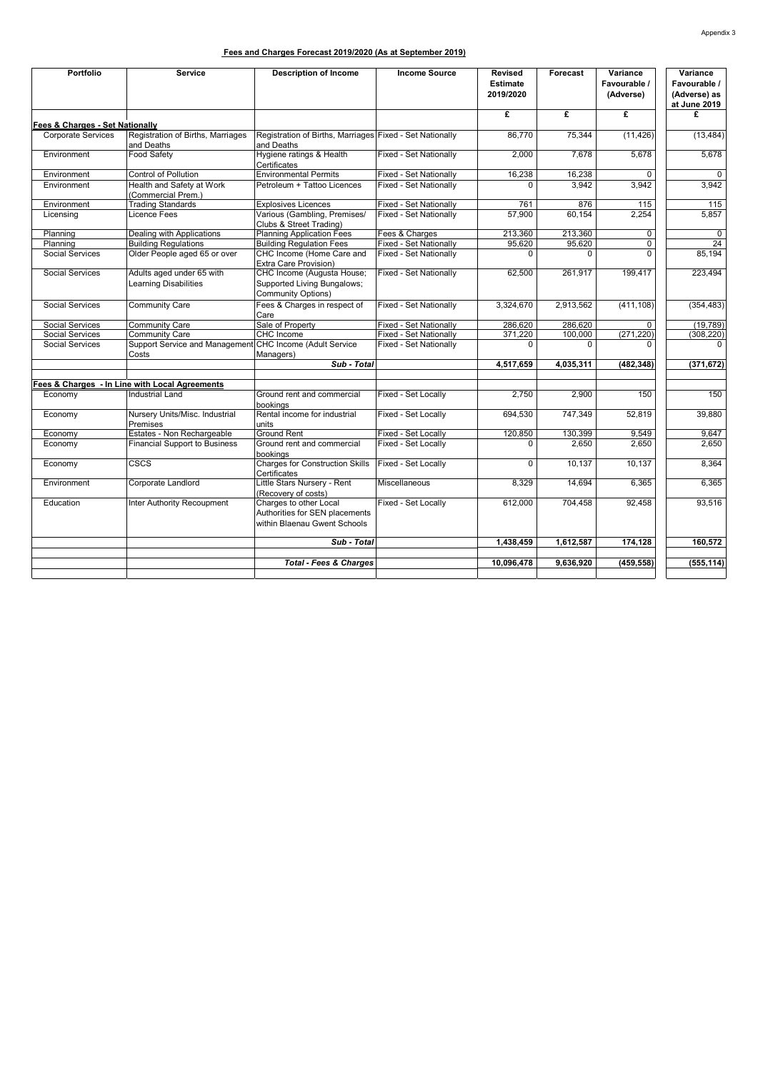| Portfolio                       | <b>Service</b>                                            | <b>Description of Income</b>                                                             | <b>Income Source</b>   | <b>Revised</b><br><b>Estimate</b><br>2019/2020 | Forecast  | Variance<br>Favourable /<br>(Adverse) | Variance<br>Favourable /<br>(Adverse) as<br>at June 2019 |
|---------------------------------|-----------------------------------------------------------|------------------------------------------------------------------------------------------|------------------------|------------------------------------------------|-----------|---------------------------------------|----------------------------------------------------------|
| Fees & Charges - Set Nationally |                                                           |                                                                                          |                        | £                                              | £         | £                                     | £                                                        |
| <b>Corporate Services</b>       | Registration of Births, Marriages<br>and Deaths           | Registration of Births, Marriages Fixed - Set Nationally<br>and Deaths                   |                        | 86,770                                         | 75,344    | (11, 426)                             | (13, 484)                                                |
| Environment                     | Food Safety                                               | Hygiene ratings & Health<br>Certificates                                                 | Fixed - Set Nationally | 2,000                                          | 7,678     | 5,678                                 | 5,678                                                    |
| Environment                     | <b>Control of Pollution</b>                               | <b>Environmental Permits</b>                                                             | Fixed - Set Nationally | 16,238                                         | 16,238    | $\Omega$                              | $\mathbf 0$                                              |
| Environment                     | Health and Safety at Work<br>(Commercial Prem.)           | Petroleum + Tattoo Licences                                                              | Fixed - Set Nationally | 0                                              | 3,942     | 3.942                                 | 3,942                                                    |
| Environment                     | <b>Trading Standards</b>                                  | <b>Explosives Licences</b>                                                               | Fixed - Set Nationally | 761                                            | 876       | 115                                   | 115                                                      |
| Licensing                       | Licence Fees                                              | Various (Gambling, Premises/<br>Clubs & Street Trading)                                  | Fixed - Set Nationally | 57,900                                         | 60,154    | 2,254                                 | 5,857                                                    |
| Planning                        | Dealing with Applications                                 | <b>Planning Application Fees</b>                                                         | Fees & Charges         | 213.360                                        | 213,360   | $\mathbf 0$                           | $\mathbf 0$                                              |
| Planning                        | <b>Building Regulations</b>                               | <b>Building Regulation Fees</b>                                                          | Fixed - Set Nationally | 95,620                                         | 95,620    | $\mathbf 0$                           | 24                                                       |
| <b>Social Services</b>          | Older People aged 65 or over                              | CHC Income (Home Care and<br>Extra Care Provision)                                       | Fixed - Set Nationally |                                                | 0         | $\Omega$                              | 85.194                                                   |
| Social Services                 | Adults aged under 65 with<br><b>Learning Disabilities</b> | CHC Income (Augusta House;<br>Supported Living Bungalows;<br>Community Options)          | Fixed - Set Nationally | 62,500                                         | 261,917   | 199,417                               | 223,494                                                  |
| Social Services                 | Community Care                                            | Fees & Charges in respect of<br>Care                                                     | Fixed - Set Nationally | 3,324,670                                      | 2,913,562 | (411, 108)                            | (354, 483)                                               |
| Social Services                 | <b>Community Care</b>                                     | Sale of Property                                                                         | Fixed - Set Nationally | 286.620                                        | 286,620   | $\Omega$                              | (19, 789)                                                |
| Social Services                 | Community Care                                            | CHC Income                                                                               | Fixed - Set Nationally | 371,220                                        | 100,000   | (271, 220)                            | (308, 220)                                               |
| <b>Social Services</b>          | Support Service and Management<br>Costs                   | CHC Income (Adult Service<br>Managers)                                                   | Fixed - Set Nationally | 0                                              | $\Omega$  |                                       | $\Omega$                                                 |
|                                 |                                                           | Sub - Total                                                                              |                        | 4.517.659                                      | 4,035,311 | (482.348)                             | (371, 672)                                               |
|                                 | Fees & Charges - In Line with Local Agreements            |                                                                                          |                        |                                                |           |                                       |                                                          |
| Economy                         | <b>Industrial Land</b>                                    | Ground rent and commercial<br>bookings                                                   | Fixed - Set Locally    | 2,750                                          | 2,900     | 150                                   | 150                                                      |
| Economy                         | Nursery Units/Misc. Industrial<br>Premises                | Rental income for industrial<br>units                                                    | Fixed - Set Locally    | 694,530                                        | 747,349   | 52,819                                | 39,880                                                   |
| Economy                         | Estates - Non Rechargeable                                | Ground Rent                                                                              | Fixed - Set Locally    | 120,850                                        | 130,399   | 9.549                                 | 9.647                                                    |
| Economy                         | Financial Support to Business                             | Ground rent and commercial<br>bookings                                                   | Fixed - Set Locally    | 0                                              | 2,650     | 2,650                                 | 2,650                                                    |
| Economy                         | CSCS                                                      | <b>Charges for Construction Skills</b><br>Certificates                                   | Fixed - Set Locally    | 0                                              | 10,137    | 10,137                                | 8,364                                                    |
| Environment                     | Corporate Landlord                                        | Little Stars Nursery - Rent<br>(Recovery of costs)                                       | Miscellaneous          | 8,329                                          | 14,694    | 6,365                                 | 6,365                                                    |
| Education                       | Inter Authority Recoupment                                | Charges to other Local<br>Authorities for SEN placements<br>within Blaenau Gwent Schools | Fixed - Set Locally    | 612,000                                        | 704,458   | 92,458                                | 93,516                                                   |
|                                 |                                                           | Sub - Total                                                                              |                        | 1,438,459                                      | 1,612,587 | 174,128                               | 160,572                                                  |
|                                 |                                                           | <b>Total - Fees &amp; Charges</b>                                                        |                        | 10,096,478                                     | 9,636,920 | (459, 558)                            | (555, 114)                                               |
|                                 |                                                           |                                                                                          |                        |                                                |           |                                       |                                                          |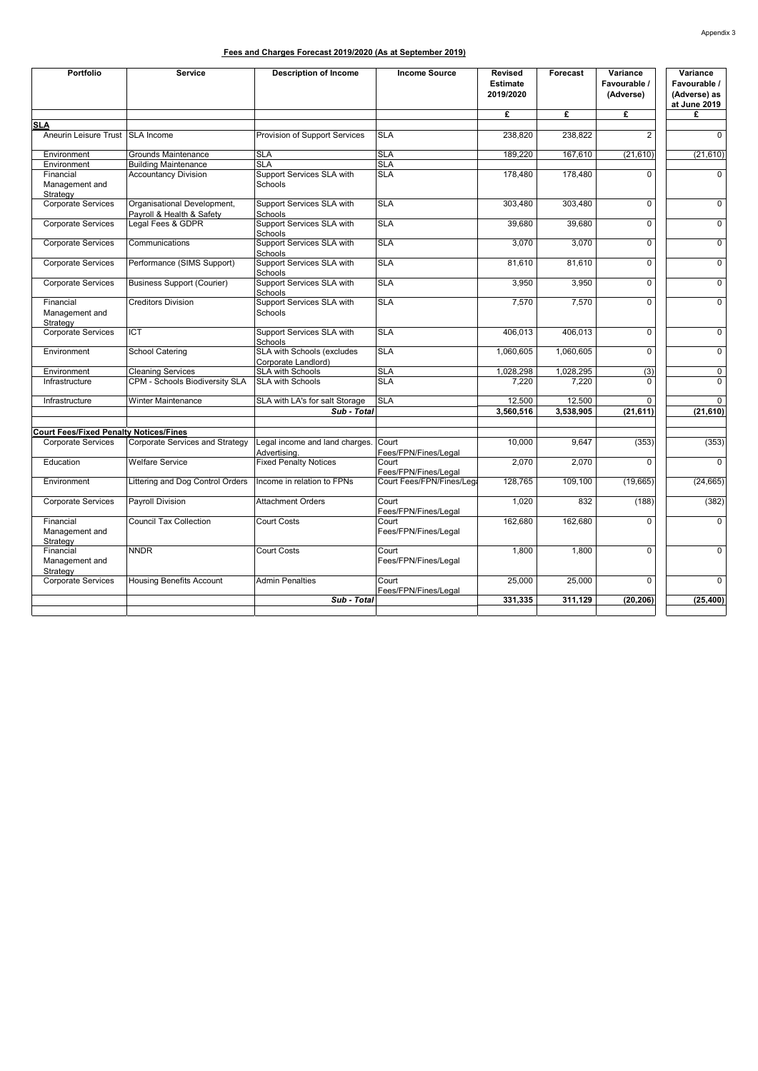| Portfolio                                     | Service                                                  | <b>Description of Income</b>                      | <b>Income Source</b>          | Revised<br><b>Estimate</b><br>2019/2020 | Forecast  | Variance<br>Favourable /<br>(Adverse) | Variance<br>Favourable /<br>(Adverse) as<br>at June 2019 |
|-----------------------------------------------|----------------------------------------------------------|---------------------------------------------------|-------------------------------|-----------------------------------------|-----------|---------------------------------------|----------------------------------------------------------|
|                                               |                                                          |                                                   |                               | £                                       | £         | £                                     | £                                                        |
| <b>SLA</b>                                    |                                                          |                                                   |                               |                                         |           |                                       |                                                          |
| Aneurin Leisure Trust SLA Income              |                                                          | Provision of Support Services                     | <b>SLA</b>                    | 238,820                                 | 238,822   | 2                                     | $\Omega$                                                 |
| Environment                                   | Grounds Maintenance                                      | <b>SLA</b>                                        | <b>SLA</b>                    | 189,220                                 | 167,610   | (21,610)                              | (21, 610)                                                |
| Environment                                   | <b>Building Maintenance</b>                              | <b>SLA</b>                                        | <b>SLA</b>                    |                                         |           |                                       |                                                          |
| Financial<br>Management and                   | <b>Accountancy Division</b>                              | Support Services SLA with<br>Schools              | <b>SLA</b>                    | 178,480                                 | 178,480   | $\Omega$                              | $\overline{0}$                                           |
| Strategy                                      |                                                          |                                                   |                               |                                         |           |                                       |                                                          |
| Corporate Services                            | Organisational Development,<br>Payroll & Health & Safety | Support Services SLA with<br>Schools              | <b>SLA</b>                    | 303,480                                 | 303,480   | $\mathbf 0$                           | $\mathbf 0$                                              |
| <b>Corporate Services</b>                     | Legal Fees & GDPR                                        | Support Services SLA with<br>Schools              | <b>SLA</b>                    | 39,680                                  | 39,680    | $\Omega$                              | $\overline{0}$                                           |
| <b>Corporate Services</b>                     | Communications                                           | Support Services SLA with<br>Schools              | <b>SLA</b>                    | 3,070                                   | 3,070     | $\Omega$                              | $\overline{0}$                                           |
| Corporate Services                            | Performance (SIMS Support)                               | Support Services SLA with<br>Schools              | <b>SLA</b>                    | 81,610                                  | 81,610    | $\overline{0}$                        | $\overline{0}$                                           |
| <b>Corporate Services</b>                     | <b>Business Support (Courier)</b>                        | Support Services SLA with<br>Schools              | <b>SLA</b>                    | 3,950                                   | 3,950     | $\Omega$                              | $\mathbf 0$                                              |
| Financial<br>Management and<br>Strategy       | <b>Creditors Division</b>                                | Support Services SLA with<br>Schools              | <b>SLA</b>                    | 7,570                                   | 7,570     | $\Omega$                              | $\overline{0}$                                           |
| Corporate Services                            | ICT                                                      | Support Services SLA with<br>Schools              | <b>SLA</b>                    | 406,013                                 | 406,013   | $\mathbf 0$                           | $\mathsf{O}\xspace$                                      |
| Environment                                   | <b>School Catering</b>                                   | SLA with Schools (excludes<br>Corporate Landlord) | <b>SLA</b>                    | 1,060,605                               | 1,060,605 | $\overline{0}$                        | $\overline{0}$                                           |
| Environment                                   | <b>Cleaning Services</b>                                 | <b>SLA with Schools</b>                           | <b>SLA</b>                    | 1,028,298                               | 1,028,295 | (3)                                   | 0                                                        |
| Infrastructure                                | CPM - Schools Biodiversity SLA                           | <b>SLA with Schools</b>                           | <b>SLA</b>                    | 7,220                                   | 7,220     | $\Omega$                              | $\Omega$                                                 |
| Infrastructure                                | <b>Winter Maintenance</b>                                | SLA with LA's for salt Storage                    | <b>SLA</b>                    | 12,500                                  | 12,500    | $\Omega$                              | $\overline{0}$                                           |
|                                               |                                                          | Sub - Total                                       |                               | 3,560,516                               | 3,538,905 | (21, 611)                             | (21, 610)                                                |
|                                               |                                                          |                                                   |                               |                                         |           |                                       |                                                          |
| <b>Court Fees/Fixed Penalty Notices/Fines</b> |                                                          |                                                   |                               |                                         |           |                                       |                                                          |
| Corporate Services                            | Corporate Services and Strategy                          | Legal income and land charges.<br>Advertising.    | Court<br>Fees/FPN/Fines/Legal | 10,000                                  | 9,647     | (353)                                 | (353)                                                    |
| Education                                     | <b>Welfare Service</b>                                   | <b>Fixed Penalty Notices</b>                      | Court<br>Fees/FPN/Fines/Legal | 2,070                                   | 2,070     | $\Omega$                              | $\overline{0}$                                           |
| Environment                                   | Littering and Dog Control Orders                         | Income in relation to FPNs                        | Court Fees/FPN/Fines/Lega     | 128,765                                 | 109,100   | (19,665)                              | (24, 665)                                                |
| <b>Corporate Services</b>                     | Payroll Division                                         | <b>Attachment Orders</b>                          | Court<br>Fees/FPN/Fines/Legal | 1,020                                   | 832       | (188)                                 | (382)                                                    |
| Financial<br>Management and<br>Strategy       | <b>Council Tax Collection</b>                            | Court Costs                                       | Court<br>Fees/FPN/Fines/Legal | 162,680                                 | 162,680   | $\Omega$                              | $\overline{0}$                                           |
| Financial<br>Management and<br>Strategy       | <b>NNDR</b>                                              | Court Costs                                       | Court<br>Fees/FPN/Fines/Legal | 1,800                                   | 1,800     | $\overline{0}$                        | $\overline{0}$                                           |
| <b>Corporate Services</b>                     | <b>Housing Benefits Account</b>                          | <b>Admin Penalties</b>                            | Court<br>Fees/FPN/Fines/Legal | 25,000                                  | 25,000    | $\Omega$                              | $\overline{0}$                                           |
|                                               |                                                          | Sub - Total                                       |                               | 331,335                                 | 311,129   | (20, 206)                             | (25, 400)                                                |
|                                               |                                                          |                                                   |                               |                                         |           |                                       |                                                          |